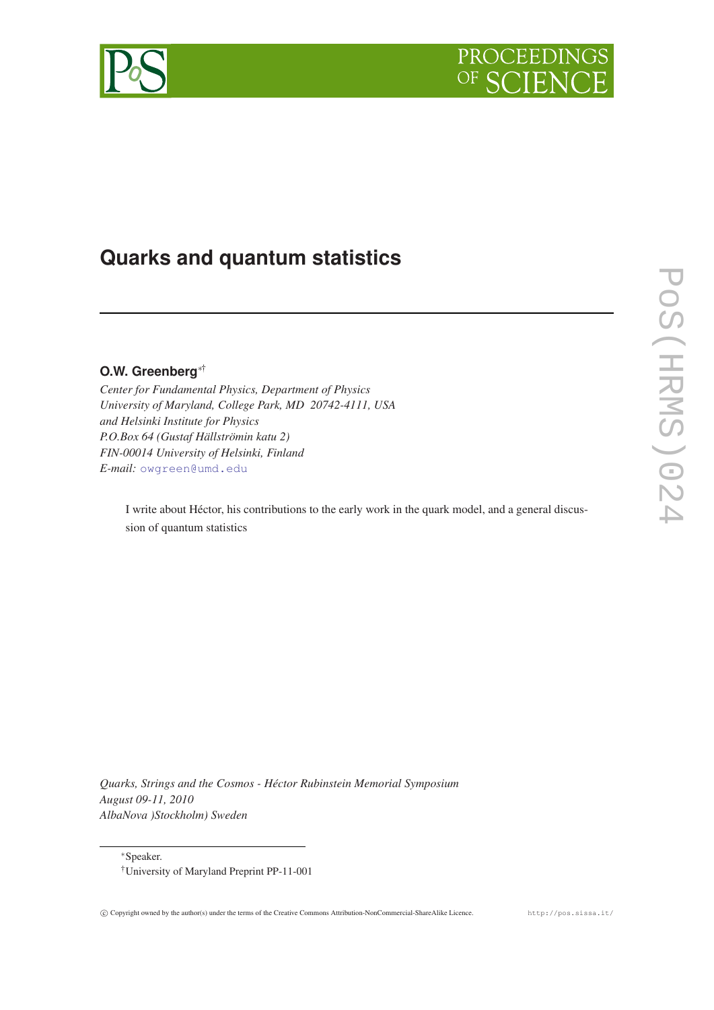



# **Quarks and quantum statistics**

## **O.W. Greenberg**∗†

*Center for Fundamental Physics, Department of Physics University of Maryland, College Park, MD 20742-4111, USA and Helsinki Institute for Physics P.O.Box 64 (Gustaf Hällströmin katu 2) FIN-00014 University of Helsinki, Finland E-mail:* [owgreen@umd.edu](mailto:owgreen@umd.edu)

I write about Héctor, his contributions to the early work in the quark model, and a general discussion of quantum statistics

*Quarks, Strings and the Cosmos - Héctor Rubinstein Memorial Symposium August 09-11, 2010 AlbaNova )Stockholm) Sweden*

<sup>∗</sup>Speaker.

<sup>†</sup>University of Maryland Preprint PP-11-001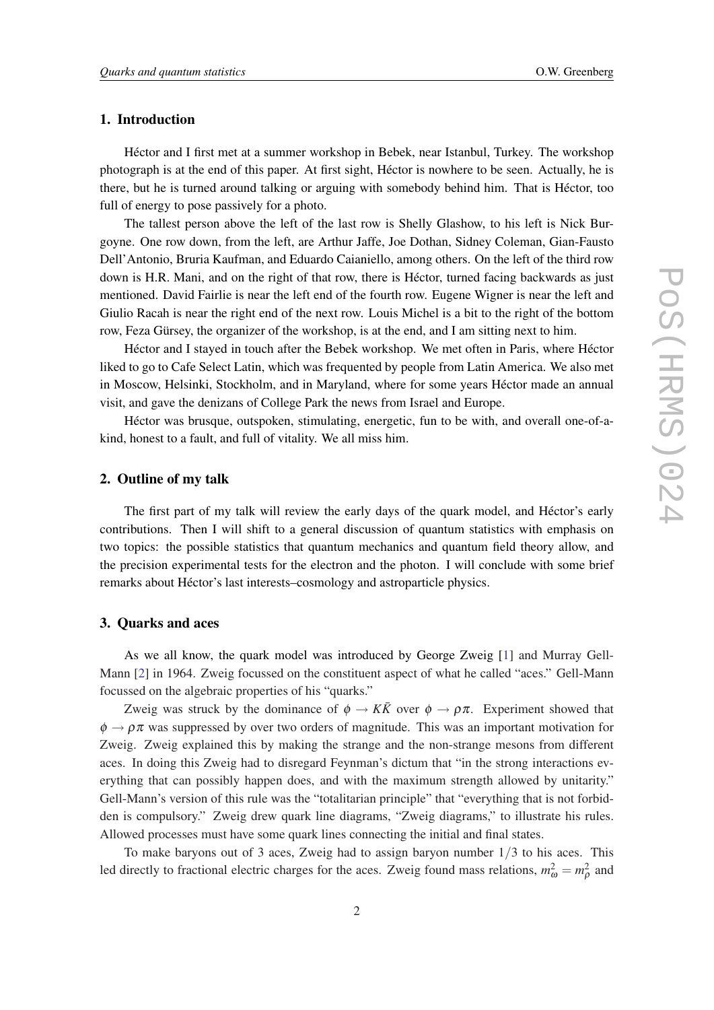## 1. Introduction

Héctor and I first met at a summer workshop in Bebek, near Istanbul, Turkey. The workshop photograph is at the end of this paper. At first sight, Héctor is nowhere to be seen. Actually, he is there, but he is turned around talking or arguing with somebody behind him. That is Héctor, too full of energy to pose passively for a photo.

The tallest person above the left of the last row is Shelly Glashow, to his left is Nick Burgoyne. One row down, from the left, are Arthur Jaffe, Joe Dothan, Sidney Coleman, Gian-Fausto Dell'Antonio, Bruria Kaufman, and Eduardo Caianiello, among others. On the left of the third row down is H.R. Mani, and on the right of that row, there is Héctor, turned facing backwards as just mentioned. David Fairlie is near the left end of the fourth row. Eugene Wigner is near the left and Giulio Racah is near the right end of the next row. Louis Michel is a bit to the right of the bottom row, Feza Gürsey, the organizer of the workshop, is at the end, and I am sitting next to him.

Héctor and I stayed in touch after the Bebek workshop. We met often in Paris, where Héctor liked to go to Cafe Select Latin, which was frequented by people from Latin America. We also met in Moscow, Helsinki, Stockholm, and in Maryland, where for some years Héctor made an annual visit, and gave the denizans of College Park the news from Israel and Europe.

Héctor was brusque, outspoken, stimulating, energetic, fun to be with, and overall one-of-akind, honest to a fault, and full of vitality. We all miss him.

## 2. Outline of my talk

The first part of my talk will review the early days of the quark model, and Héctor's early contributions. Then I will shift to a general discussion of quantum statistics with emphasis on two topics: the possible statistics that quantum mechanics and quantum field theory allow, and the precision experimental tests for the electron and the photon. I will conclude with some brief remarks about Héctor's last interests–cosmology and astroparticle physics.

## 3. Quarks and aces

As we all know, the quark model was introduced by George Zweig [\[1\]](#page-6-0) and Murray Gell-Mann [\[2\]](#page-6-0) in 1964. Zweig focussed on the constituent aspect of what he called "aces." Gell-Mann focussed on the algebraic properties of his "quarks."

Zweig was struck by the dominance of  $\phi \to K\bar{K}$  over  $\phi \to \rho \pi$ . Experiment showed that  $\phi \rightarrow \rho \pi$  was suppressed by over two orders of magnitude. This was an important motivation for Zweig. Zweig explained this by making the strange and the non-strange mesons from different aces. In doing this Zweig had to disregard Feynman's dictum that "in the strong interactions everything that can possibly happen does, and with the maximum strength allowed by unitarity." Gell-Mann's version of this rule was the "totalitarian principle" that "everything that is not forbidden is compulsory." Zweig drew quark line diagrams, "Zweig diagrams," to illustrate his rules. Allowed processes must have some quark lines connecting the initial and final states.

To make baryons out of 3 aces, Zweig had to assign baryon number 1/3 to his aces. This led directly to fractional electric charges for the aces. Zweig found mass relations,  $m_{\omega}^2 = m_{\rho}^2$  and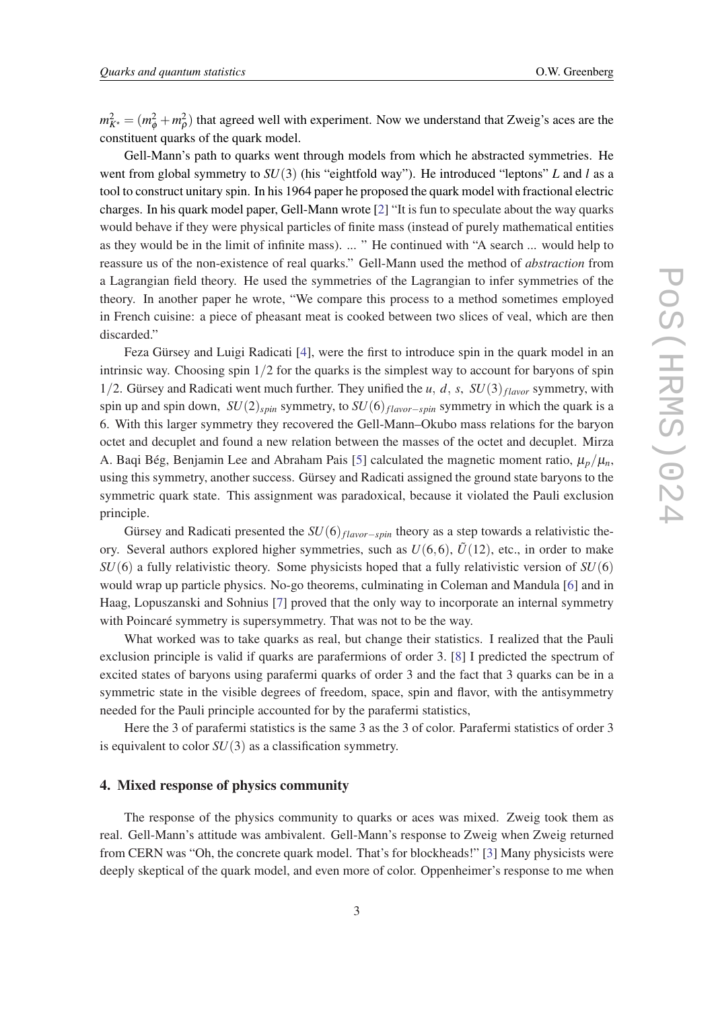$m_{K^*}^2 = (m_\phi^2 + m_\rho^2)$  that agreed well with experiment. Now we understand that Zweig's aces are the constituent quarks of the quark model.

Gell-Mann's path to quarks went through models from which he abstracted symmetries. He went from global symmetry to *SU*(3) (his "eightfold way"). He introduced "leptons" *L* and *l* as a tool to construct unitary spin. In his 1964 paper he proposed the quark model with fractional electric charges. In his quark model paper, Gell-Mann wrote [\[2\]](#page-6-0) "It is fun to speculate about the way quarks would behave if they were physical particles of finite mass (instead of purely mathematical entities as they would be in the limit of infinite mass). ... " He continued with "A search ... would help to reassure us of the non-existence of real quarks." Gell-Mann used the method of *abstraction* from a Lagrangian field theory. He used the symmetries of the Lagrangian to infer symmetries of the theory. In another paper he wrote, "We compare this process to a method sometimes employed in French cuisine: a piece of pheasant meat is cooked between two slices of veal, which are then discarded."

Feza Gürsey and Luigi Radicati [[4](#page-6-0)], were the first to introduce spin in the quark model in an intrinsic way. Choosing spin  $1/2$  for the quarks is the simplest way to account for baryons of spin 1/2. Gürsey and Radicati went much further. They unified the *u*, *d*, *s*,  $SU(3)$ <sub>flavor</sub> symmetry, with spin up and spin down, *SU*(2)*spin* symmetry, to *SU*(6)*f lavor*−*spin* symmetry in which the quark is a 6. With this larger symmetry they recovered the Gell-Mann–Okubo mass relations for the baryon octet and decuplet and found a new relation between the masses of the octet and decuplet. Mirza A. Baqi Bég, Benjamin Lee and Abraham Pais [[5](#page-6-0)] calculated the magnetic moment ratio,  $\mu_p/\mu_n$ , using this symmetry, another success. Gürsey and Radicati assigned the ground state baryons to the symmetric quark state. This assignment was paradoxical, because it violated the Pauli exclusion principle.

Gürsey and Radicati presented the *SU*(6)<sup>*f*</sup>*flavor*−*spin*</sub> theory as a step towards a relativistic theory. Several authors explored higher symmetries, such as  $U(6,6)$ ,  $\tilde{U}(12)$ , etc., in order to make *SU*(6) a fully relativistic theory. Some physicists hoped that a fully relativistic version of *SU*(6) would wrap up particle physics. No-go theorems, culminating in Coleman and Mandula [\[6\]](#page-6-0) and in Haag, Lopuszanski and Sohnius [[7](#page-7-0)] proved that the only way to incorporate an internal symmetry with Poincaré symmetry is supersymmetry. That was not to be the way.

What worked was to take quarks as real, but change their statistics. I realized that the Pauli exclusion principle is valid if quarks are parafermions of order 3. [[8](#page-7-0)] I predicted the spectrum of excited states of baryons using parafermi quarks of order 3 and the fact that 3 quarks can be in a symmetric state in the visible degrees of freedom, space, spin and flavor, with the antisymmetry needed for the Pauli principle accounted for by the parafermi statistics,

Here the 3 of parafermi statistics is the same 3 as the 3 of color. Parafermi statistics of order 3 is equivalent to color *SU*(3) as a classification symmetry.

## 4. Mixed response of physics community

The response of the physics community to quarks or aces was mixed. Zweig took them as real. Gell-Mann's attitude was ambivalent. Gell-Mann's response to Zweig when Zweig returned from CERN was "Oh, the concrete quark model. That's for blockheads!" [[3](#page-6-0)] Many physicists were deeply skeptical of the quark model, and even more of color. Oppenheimer's response to me when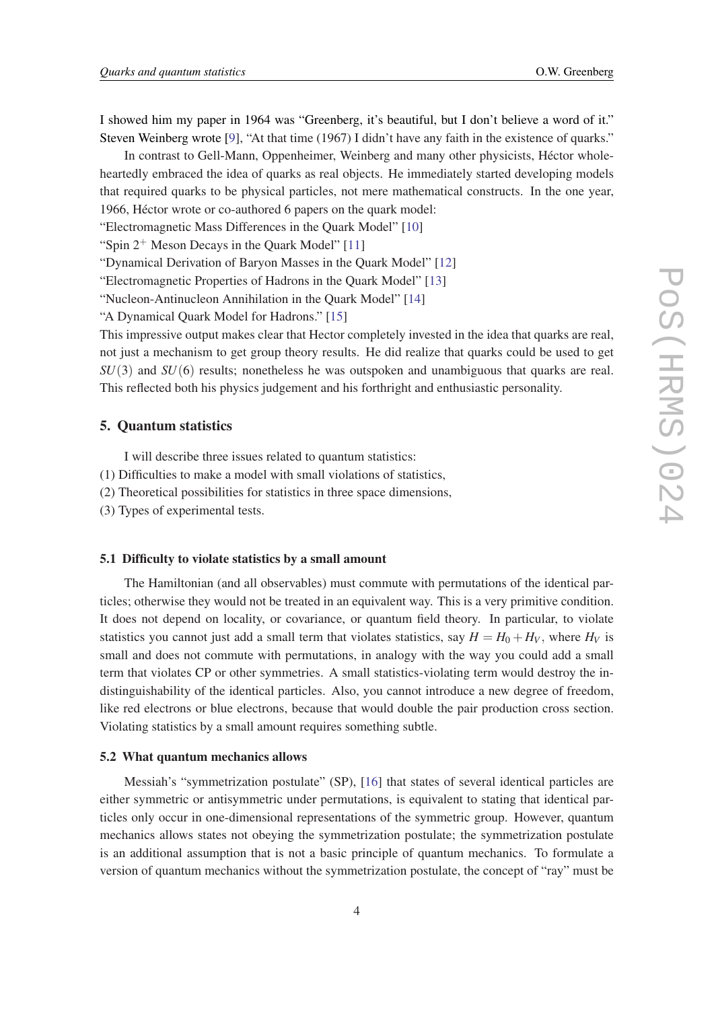I showed him my paper in 1964 was "Greenberg, it's beautiful, but I don't believe a word of it." Steven Weinberg wrote [[9](#page-7-0)], "At that time (1967) I didn't have any faith in the existence of quarks."

In contrast to Gell-Mann, Oppenheimer, Weinberg and many other physicists, Héctor wholeheartedly embraced the idea of quarks as real objects. He immediately started developing models that required quarks to be physical particles, not mere mathematical constructs. In the one year, 1966, Héctor wrote or co-authored 6 papers on the quark model:

"Electromagnetic Mass Differences in the Quark Model" [\[10](#page-7-0)]

"Spin  $2^+$  Meson Decays in the Ouark Model" [[11\]](#page-7-0)

"Dynamical Derivation of Baryon Masses in the Quark Model" [\[12\]](#page-7-0)

"Electromagnetic Properties of Hadrons in the Quark Model" [[13\]](#page-7-0)

"Nucleon-Antinucleon Annihilation in the Quark Model" [\[14](#page-7-0)]

"A Dynamical Quark Model for Hadrons." [\[15](#page-7-0)]

This impressive output makes clear that Hector completely invested in the idea that quarks are real, not just a mechanism to get group theory results. He did realize that quarks could be used to get *SU*(3) and *SU*(6) results; nonetheless he was outspoken and unambiguous that quarks are real. This reflected both his physics judgement and his forthright and enthusiastic personality.

## 5. Quantum statistics

I will describe three issues related to quantum statistics:

- (1) Difficulties to make a model with small violations of statistics,
- (2) Theoretical possibilities for statistics in three space dimensions,
- (3) Types of experimental tests.

#### 5.1 Difficulty to violate statistics by a small amount

The Hamiltonian (and all observables) must commute with permutations of the identical particles; otherwise they would not be treated in an equivalent way. This is a very primitive condition. It does not depend on locality, or covariance, or quantum field theory. In particular, to violate statistics you cannot just add a small term that violates statistics, say  $H = H_0 + H_V$ , where  $H_V$  is small and does not commute with permutations, in analogy with the way you could add a small term that violates CP or other symmetries. A small statistics-violating term would destroy the indistinguishability of the identical particles. Also, you cannot introduce a new degree of freedom, like red electrons or blue electrons, because that would double the pair production cross section. Violating statistics by a small amount requires something subtle.

#### 5.2 What quantum mechanics allows

Messiah's "symmetrization postulate" (SP), [\[16](#page-7-0)] that states of several identical particles are either symmetric or antisymmetric under permutations, is equivalent to stating that identical particles only occur in one-dimensional representations of the symmetric group. However, quantum mechanics allows states not obeying the symmetrization postulate; the symmetrization postulate is an additional assumption that is not a basic principle of quantum mechanics. To formulate a version of quantum mechanics without the symmetrization postulate, the concept of "ray" must be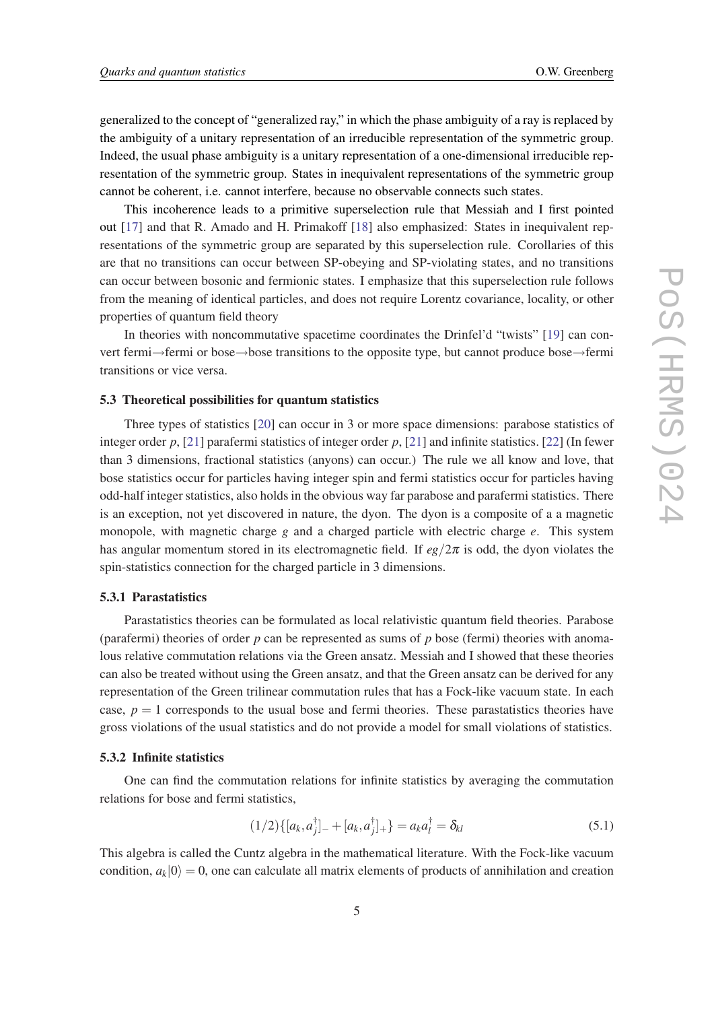generalized to the concept of "generalized ray," in which the phase ambiguity of a ray is replaced by the ambiguity of a unitary representation of an irreducible representation of the symmetric group. Indeed, the usual phase ambiguity is a unitary representation of a one-dimensional irreducible representation of the symmetric group. States in inequivalent representations of the symmetric group cannot be coherent, i.e. cannot interfere, because no observable connects such states.

This incoherence leads to a primitive superselection rule that Messiah and I first pointed out [[17](#page-7-0)] and that R. Amado and H. Primakoff [\[18](#page-7-0)] also emphasized: States in inequivalent representations of the symmetric group are separated by this superselection rule. Corollaries of this are that no transitions can occur between SP-obeying and SP-violating states, and no transitions can occur between bosonic and fermionic states. I emphasize that this superselection rule follows from the meaning of identical particles, and does not require Lorentz covariance, locality, or other properties of quantum field theory

In theories with noncommutative spacetime coordinates the Drinfel'd "twists" [\[19](#page-7-0)] can convert fermi→fermi or bose→bose transitions to the opposite type, but cannot produce bose→fermi transitions or vice versa.

#### 5.3 Theoretical possibilities for quantum statistics

Three types of statistics [[20\]](#page-7-0) can occur in 3 or more space dimensions: parabose statistics of integer order *p*, [[21\]](#page-7-0) parafermi statistics of integer order *p*, [\[21](#page-7-0)] and infinite statistics. [[22](#page-7-0)] (In fewer than 3 dimensions, fractional statistics (anyons) can occur.) The rule we all know and love, that bose statistics occur for particles having integer spin and fermi statistics occur for particles having odd-half integer statistics, also holds in the obvious way far parabose and parafermi statistics. There is an exception, not yet discovered in nature, the dyon. The dyon is a composite of a a magnetic monopole, with magnetic charge *g* and a charged particle with electric charge *e*. This system has angular momentum stored in its electromagnetic field. If  $eg/2\pi$  is odd, the dyon violates the spin-statistics connection for the charged particle in 3 dimensions.

#### 5.3.1 Parastatistics

Parastatistics theories can be formulated as local relativistic quantum field theories. Parabose (parafermi) theories of order *p* can be represented as sums of *p* bose (fermi) theories with anomalous relative commutation relations via the Green ansatz. Messiah and I showed that these theories can also be treated without using the Green ansatz, and that the Green ansatz can be derived for any representation of the Green trilinear commutation rules that has a Fock-like vacuum state. In each case,  $p = 1$  corresponds to the usual bose and fermi theories. These parastatistics theories have gross violations of the usual statistics and do not provide a model for small violations of statistics.

#### 5.3.2 Infinite statistics

One can find the commutation relations for infinite statistics by averaging the commutation relations for bose and fermi statistics,

$$
(1/2)\{[a_k, a_j^{\dagger}]_{-} + [a_k, a_j^{\dagger}]_{+}\} = a_k a_l^{\dagger} = \delta_{kl}
$$
\n(5.1)

This algebra is called the Cuntz algebra in the mathematical literature. With the Fock-like vacuum condition,  $a_k|0\rangle = 0$ , one can calculate all matrix elements of products of annihilation and creation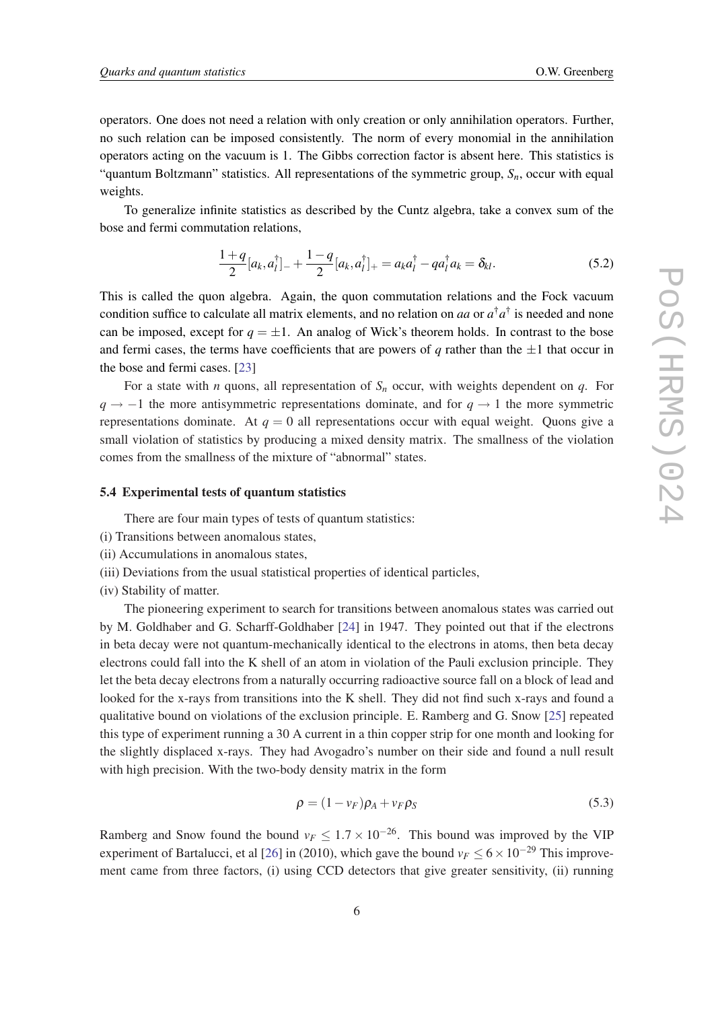operators. One does not need a relation with only creation or only annihilation operators. Further, no such relation can be imposed consistently. The norm of every monomial in the annihilation operators acting on the vacuum is 1. The Gibbs correction factor is absent here. This statistics is "quantum Boltzmann" statistics. All representations of the symmetric group, *Sn*, occur with equal weights.

To generalize infinite statistics as described by the Cuntz algebra, take a convex sum of the bose and fermi commutation relations,

$$
\frac{1+q}{2}[a_k, a_l^{\dagger}]_{-} + \frac{1-q}{2}[a_k, a_l^{\dagger}]_{+} = a_k a_l^{\dagger} - q a_l^{\dagger} a_k = \delta_{kl}.
$$
 (5.2)

This is called the quon algebra. Again, the quon commutation relations and the Fock vacuum condition suffice to calculate all matrix elements, and no relation on *aa* or *a* †*a* † is needed and none can be imposed, except for  $q = \pm 1$ . An analog of Wick's theorem holds. In contrast to the bose and fermi cases, the terms have coefficients that are powers of  $q$  rather than the  $\pm 1$  that occur in the bose and fermi cases. [\[23\]](#page-7-0)

For a state with *n* quons, all representation of *S<sup>n</sup>* occur, with weights dependent on *q*. For *q* → −1 the more antisymmetric representations dominate, and for  $q \rightarrow 1$  the more symmetric representations dominate. At  $q = 0$  all representations occur with equal weight. Quons give a small violation of statistics by producing a mixed density matrix. The smallness of the violation comes from the smallness of the mixture of "abnormal" states.

#### 5.4 Experimental tests of quantum statistics

There are four main types of tests of quantum statistics:

- (i) Transitions between anomalous states,
- (ii) Accumulations in anomalous states,
- (iii) Deviations from the usual statistical properties of identical particles,
- (iv) Stability of matter.

The pioneering experiment to search for transitions between anomalous states was carried out by M. Goldhaber and G. Scharff-Goldhaber [\[24](#page-7-0)] in 1947. They pointed out that if the electrons in beta decay were not quantum-mechanically identical to the electrons in atoms, then beta decay electrons could fall into the K shell of an atom in violation of the Pauli exclusion principle. They let the beta decay electrons from a naturally occurring radioactive source fall on a block of lead and looked for the x-rays from transitions into the K shell. They did not find such x-rays and found a qualitative bound on violations of the exclusion principle. E. Ramberg and G. Snow [[25](#page-7-0)] repeated this type of experiment running a 30 A current in a thin copper strip for one month and looking for the slightly displaced x-rays. They had Avogadro's number on their side and found a null result with high precision. With the two-body density matrix in the form

$$
\rho = (1 - v_F)\rho_A + v_F \rho_S \tag{5.3}
$$

Ramberg and Snow found the bound  $v_F \leq 1.7 \times 10^{-26}$ . This bound was improved by the VIP experiment of Bartalucci, et al [\[26](#page-7-0)] in (2010), which gave the bound  $v_F \le 6 \times 10^{-29}$  This improvement came from three factors, (i) using CCD detectors that give greater sensitivity, (ii) running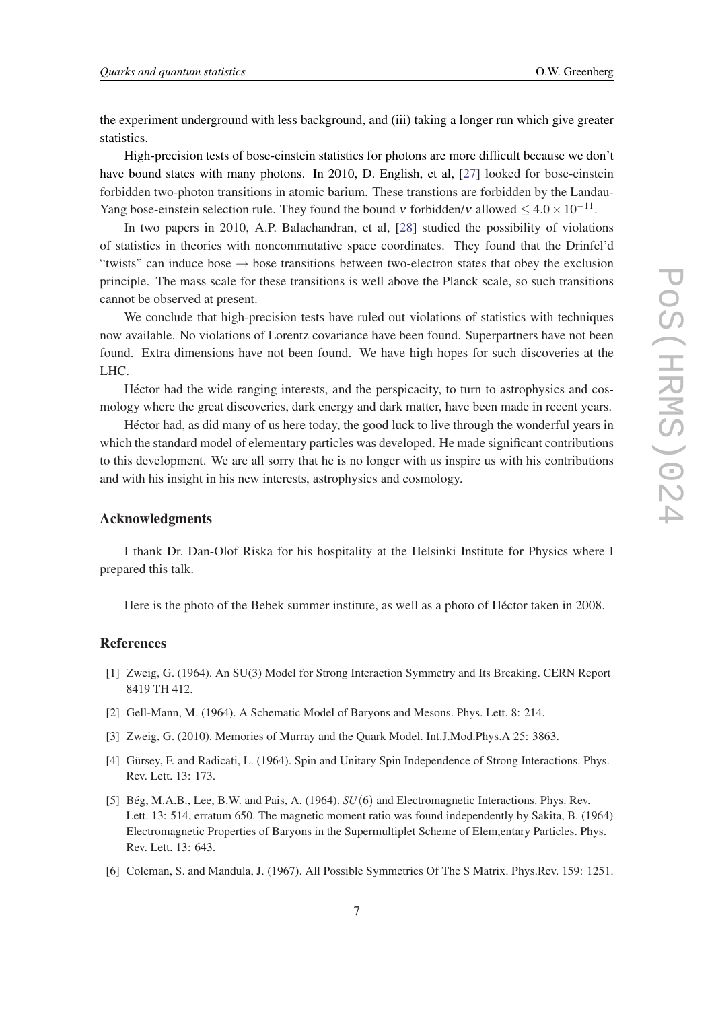<span id="page-6-0"></span>the experiment underground with less background, and (iii) taking a longer run which give greater statistics.

High-precision tests of bose-einstein statistics for photons are more difficult because we don't have bound states with many photons. In 2010, D. English, et al, [\[27](#page-7-0)] looked for bose-einstein forbidden two-photon transitions in atomic barium. These transtions are forbidden by the Landau-Yang bose-einstein selection rule. They found the bound v forbidden/v allowed  $\leq 4.0 \times 10^{-11}$ .

In two papers in 2010, A.P. Balachandran, et al, [\[28](#page-7-0)] studied the possibility of violations of statistics in theories with noncommutative space coordinates. They found that the Drinfel'd "twists" can induce bose  $\rightarrow$  bose transitions between two-electron states that obey the exclusion principle. The mass scale for these transitions is well above the Planck scale, so such transitions cannot be observed at present.

We conclude that high-precision tests have ruled out violations of statistics with techniques now available. No violations of Lorentz covariance have been found. Superpartners have not been found. Extra dimensions have not been found. We have high hopes for such discoveries at the LHC.

Héctor had the wide ranging interests, and the perspicacity, to turn to astrophysics and cosmology where the great discoveries, dark energy and dark matter, have been made in recent years.

Héctor had, as did many of us here today, the good luck to live through the wonderful years in which the standard model of elementary particles was developed. He made significant contributions to this development. We are all sorry that he is no longer with us inspire us with his contributions and with his insight in his new interests, astrophysics and cosmology.

## Acknowledgments

I thank Dr. Dan-Olof Riska for his hospitality at the Helsinki Institute for Physics where I prepared this talk.

Here is the photo of the Bebek summer institute, as well as a photo of Héctor taken in 2008.

#### References

- [1] Zweig, G. (1964). An SU(3) Model for Strong Interaction Symmetry and Its Breaking. CERN Report 8419 TH 412.
- [2] Gell-Mann, M. (1964). A Schematic Model of Baryons and Mesons. Phys. Lett. 8: 214.
- [3] Zweig, G. (2010). Memories of Murray and the Quark Model. Int.J.Mod.Phys.A 25: 3863.
- [4] Gürsey, F. and Radicati, L. (1964). Spin and Unitary Spin Independence of Strong Interactions. Phys. Rev. Lett. 13: 173.
- [5] Bég, M.A.B., Lee, B.W. and Pais, A. (1964). *SU*(6) and Electromagnetic Interactions. Phys. Rev. Lett. 13: 514, erratum 650. The magnetic moment ratio was found independently by Sakita, B. (1964) Electromagnetic Properties of Baryons in the Supermultiplet Scheme of Elem,entary Particles. Phys. Rev. Lett. 13: 643.
- [6] Coleman, S. and Mandula, J. (1967). All Possible Symmetries Of The S Matrix. Phys.Rev. 159: 1251.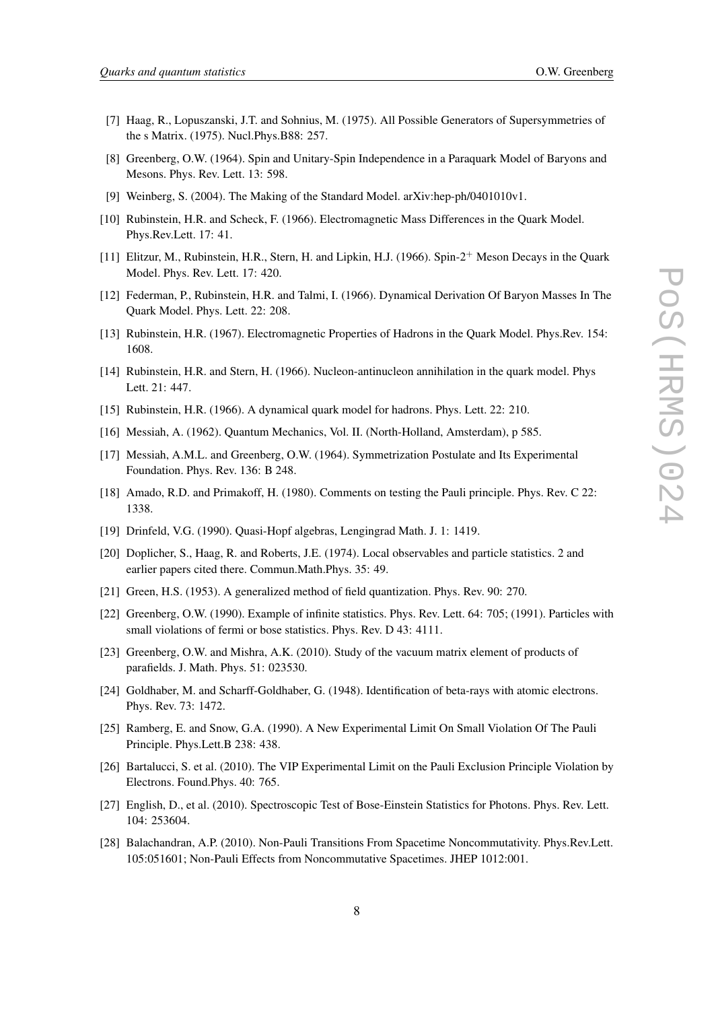- <span id="page-7-0"></span>[7] Haag, R., Lopuszanski, J.T. and Sohnius, M. (1975). All Possible Generators of Supersymmetries of the s Matrix. (1975). Nucl.Phys.B88: 257.
- [8] Greenberg, O.W. (1964). Spin and Unitary-Spin Independence in a Paraquark Model of Baryons and Mesons. Phys. Rev. Lett. 13: 598.
- [9] Weinberg, S. (2004). The Making of the Standard Model. arXiv:hep-ph/0401010v1.
- [10] Rubinstein, H.R. and Scheck, F. (1966). Electromagnetic Mass Differences in the Quark Model. Phys.Rev.Lett. 17: 41.
- [11] Elitzur, M., Rubinstein, H.R., Stern, H. and Lipkin, H.J. (1966). Spin-2<sup>+</sup> Meson Decays in the Quark Model. Phys. Rev. Lett. 17: 420.
- [12] Federman, P., Rubinstein, H.R. and Talmi, I. (1966). Dynamical Derivation Of Baryon Masses In The Quark Model. Phys. Lett. 22: 208.
- [13] Rubinstein, H.R. (1967). Electromagnetic Properties of Hadrons in the Quark Model. Phys.Rev. 154: 1608.
- [14] Rubinstein, H.R. and Stern, H. (1966). Nucleon-antinucleon annihilation in the quark model. Phys Lett. 21: 447.
- [15] Rubinstein, H.R. (1966). A dynamical quark model for hadrons. Phys. Lett. 22: 210.
- [16] Messiah, A. (1962). Quantum Mechanics, Vol. II. (North-Holland, Amsterdam), p 585.
- [17] Messiah, A.M.L. and Greenberg, O.W. (1964). Symmetrization Postulate and Its Experimental Foundation. Phys. Rev. 136: B 248.
- [18] Amado, R.D. and Primakoff, H. (1980). Comments on testing the Pauli principle. Phys. Rev. C 22: 1338.
- [19] Drinfeld, V.G. (1990). Quasi-Hopf algebras, Lengingrad Math. J. 1: 1419.
- [20] Doplicher, S., Haag, R. and Roberts, J.E. (1974). Local observables and particle statistics. 2 and earlier papers cited there. Commun.Math.Phys. 35: 49.
- [21] Green, H.S. (1953). A generalized method of field quantization. Phys. Rev. 90: 270.
- [22] Greenberg, O.W. (1990). Example of infinite statistics. Phys. Rev. Lett. 64: 705; (1991). Particles with small violations of fermi or bose statistics. Phys. Rev. D 43: 4111.
- [23] Greenberg, O.W. and Mishra, A.K. (2010). Study of the vacuum matrix element of products of parafields. J. Math. Phys. 51: 023530.
- [24] Goldhaber, M. and Scharff-Goldhaber, G. (1948). Identification of beta-rays with atomic electrons. Phys. Rev. 73: 1472.
- [25] Ramberg, E. and Snow, G.A. (1990). A New Experimental Limit On Small Violation Of The Pauli Principle. Phys.Lett.B 238: 438.
- [26] Bartalucci, S. et al. (2010). The VIP Experimental Limit on the Pauli Exclusion Principle Violation by Electrons. Found.Phys. 40: 765.
- [27] English, D., et al. (2010). Spectroscopic Test of Bose-Einstein Statistics for Photons. Phys. Rev. Lett. 104: 253604.
- [28] Balachandran, A.P. (2010). Non-Pauli Transitions From Spacetime Noncommutativity. Phys.Rev.Lett. 105:051601; Non-Pauli Effects from Noncommutative Spacetimes. JHEP 1012:001.